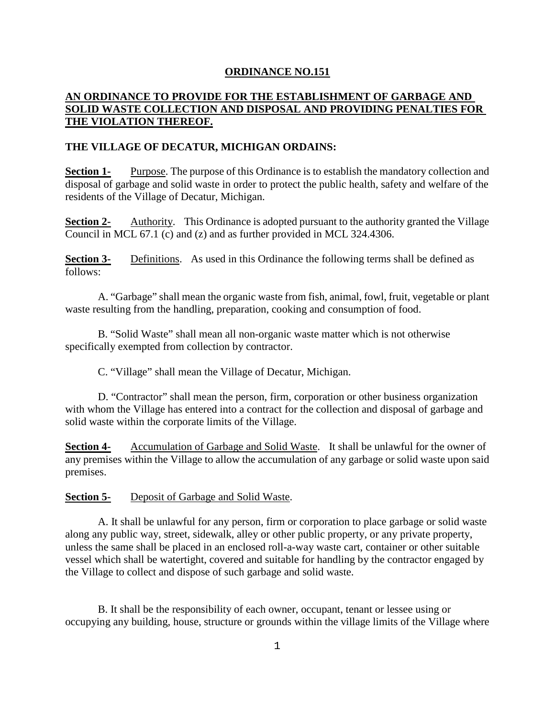## **ORDINANCE NO.151**

## **AN ORDINANCE TO PROVIDE FOR THE ESTABLISHMENT OF GARBAGE AND SOLID WASTE COLLECTION AND DISPOSAL AND PROVIDING PENALTIES FOR THE VIOLATION THEREOF.**

## **THE VILLAGE OF DECATUR, MICHIGAN ORDAINS:**

**Section 1-** Purpose. The purpose of this Ordinance is to establish the mandatory collection and disposal of garbage and solid waste in order to protect the public health, safety and welfare of the residents of the Village of Decatur, Michigan.

**Section 2-** Authority. This Ordinance is adopted pursuant to the authority granted the Village Council in MCL 67.1 (c) and (z) and as further provided in MCL 324.4306.

**Section 3-** Definitions. As used in this Ordinance the following terms shall be defined as follows:

A. "Garbage" shall mean the organic waste from fish, animal, fowl, fruit, vegetable or plant waste resulting from the handling, preparation, cooking and consumption of food.

B. "Solid Waste" shall mean all non-organic waste matter which is not otherwise specifically exempted from collection by contractor.

C. "Village" shall mean the Village of Decatur, Michigan.

D. "Contractor" shall mean the person, firm, corporation or other business organization with whom the Village has entered into a contract for the collection and disposal of garbage and solid waste within the corporate limits of the Village.

**Section 4-** Accumulation of Garbage and Solid Waste. It shall be unlawful for the owner of any premises within the Village to allow the accumulation of any garbage or solid waste upon said premises.

## **Section 5-** Deposit of Garbage and Solid Waste.

A. It shall be unlawful for any person, firm or corporation to place garbage or solid waste along any public way, street, sidewalk, alley or other public property, or any private property, unless the same shall be placed in an enclosed roll-a-way waste cart, container or other suitable vessel which shall be watertight, covered and suitable for handling by the contractor engaged by the Village to collect and dispose of such garbage and solid waste.

B. It shall be the responsibility of each owner, occupant, tenant or lessee using or occupying any building, house, structure or grounds within the village limits of the Village where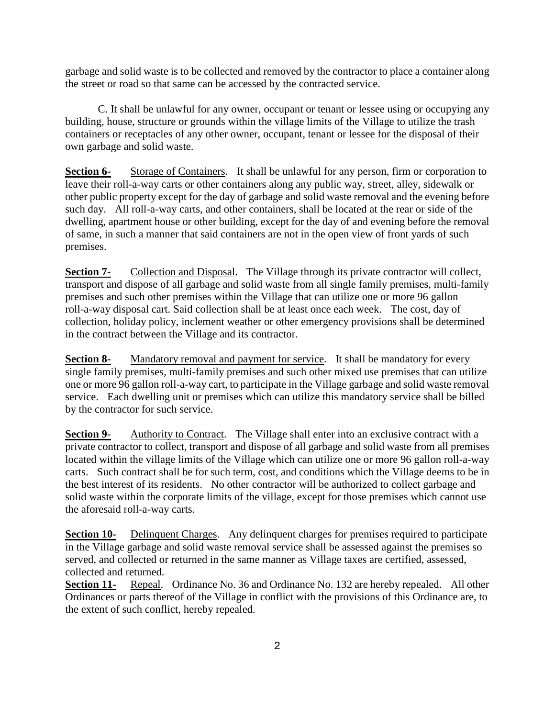garbage and solid waste is to be collected and removed by the contractor to place a container along the street or road so that same can be accessed by the contracted service.

C. It shall be unlawful for any owner, occupant or tenant or lessee using or occupying any building, house, structure or grounds within the village limits of the Village to utilize the trash containers or receptacles of any other owner, occupant, tenant or lessee for the disposal of their own garbage and solid waste.

**Section 6-** Storage of Containers. It shall be unlawful for any person, firm or corporation to leave their roll-a-way carts or other containers along any public way, street, alley, sidewalk or other public property except for the day of garbage and solid waste removal and the evening before such day. All roll-a-way carts, and other containers, shall be located at the rear or side of the dwelling, apartment house or other building, except for the day of and evening before the removal of same, in such a manner that said containers are not in the open view of front yards of such premises.

**Section 7-** Collection and Disposal. The Village through its private contractor will collect, transport and dispose of all garbage and solid waste from all single family premises, multi-family premises and such other premises within the Village that can utilize one or more 96 gallon roll-a-way disposal cart. Said collection shall be at least once each week. The cost, day of collection, holiday policy, inclement weather or other emergency provisions shall be determined in the contract between the Village and its contractor.

**Section 8-** Mandatory removal and payment for service. It shall be mandatory for every single family premises, multi-family premises and such other mixed use premises that can utilize one or more 96 gallon roll-a-way cart, to participate in the Village garbage and solid waste removal service. Each dwelling unit or premises which can utilize this mandatory service shall be billed by the contractor for such service.

**Section 9-** Authority to Contract. The Village shall enter into an exclusive contract with a private contractor to collect, transport and dispose of all garbage and solid waste from all premises located within the village limits of the Village which can utilize one or more 96 gallon roll-a-way carts. Such contract shall be for such term, cost, and conditions which the Village deems to be in the best interest of its residents. No other contractor will be authorized to collect garbage and solid waste within the corporate limits of the village, except for those premises which cannot use the aforesaid roll-a-way carts.

**Section 10-** Delinquent Charges. Any delinquent charges for premises required to participate in the Village garbage and solid waste removal service shall be assessed against the premises so served, and collected or returned in the same manner as Village taxes are certified, assessed, collected and returned.

**Section 11-** Repeal. Ordinance No. 36 and Ordinance No. 132 are hereby repealed. All other Ordinances or parts thereof of the Village in conflict with the provisions of this Ordinance are, to the extent of such conflict, hereby repealed.